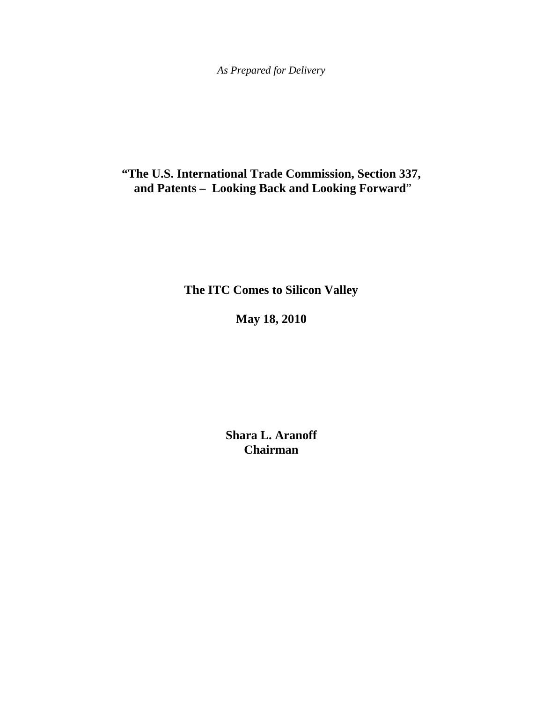**"The U.S. International Trade Commission, Section 337, and Patents – Looking Back and Looking Forward**"

**The ITC Comes to Silicon Valley**

**May 18, 2010**

**Shara L. Aranoff Chairman**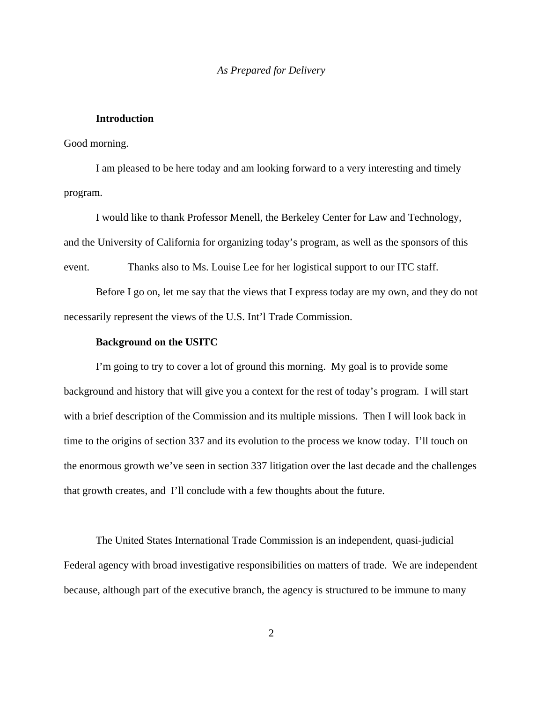## **Introduction**

#### Good morning.

I am pleased to be here today and am looking forward to a very interesting and timely program.

I would like to thank Professor Menell, the Berkeley Center for Law and Technology, and the University of California for organizing today's program, as well as the sponsors of this event. Thanks also to Ms. Louise Lee for her logistical support to our ITC staff.

Before I go on, let me say that the views that I express today are my own, and they do not necessarily represent the views of the U.S. Int'l Trade Commission.

## **Background on the USITC**

I'm going to try to cover a lot of ground this morning. My goal is to provide some background and history that will give you a context for the rest of today's program. I will start with a brief description of the Commission and its multiple missions. Then I will look back in time to the origins of section 337 and its evolution to the process we know today. I'll touch on the enormous growth we've seen in section 337 litigation over the last decade and the challenges that growth creates, and I'll conclude with a few thoughts about the future.

The United States International Trade Commission is an independent, quasi-judicial Federal agency with broad investigative responsibilities on matters of trade. We are independent because, although part of the executive branch, the agency is structured to be immune to many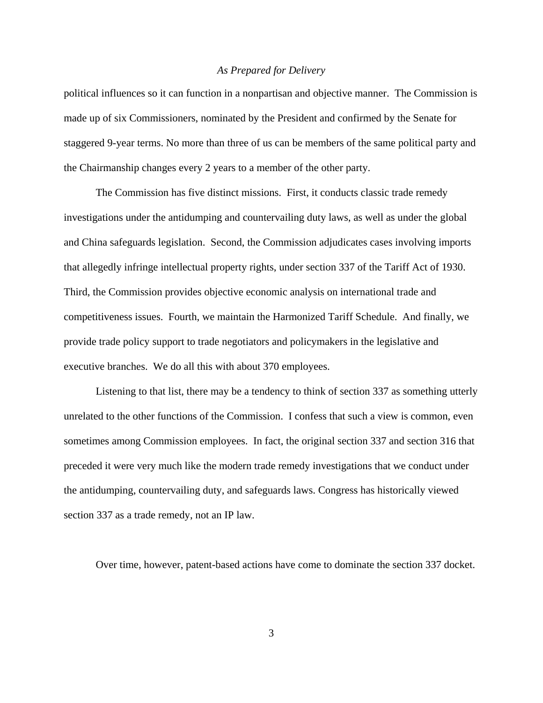political influences so it can function in a nonpartisan and objective manner. The Commission is made up of six Commissioners, nominated by the President and confirmed by the Senate for staggered 9-year terms. No more than three of us can be members of the same political party and the Chairmanship changes every 2 years to a member of the other party.

The Commission has five distinct missions. First, it conducts classic trade remedy investigations under the antidumping and countervailing duty laws, as well as under the global and China safeguards legislation. Second, the Commission adjudicates cases involving imports that allegedly infringe intellectual property rights, under section 337 of the Tariff Act of 1930. Third, the Commission provides objective economic analysis on international trade and competitiveness issues. Fourth, we maintain the Harmonized Tariff Schedule. And finally, we provide trade policy support to trade negotiators and policymakers in the legislative and executive branches. We do all this with about 370 employees.

Listening to that list, there may be a tendency to think of section 337 as something utterly unrelated to the other functions of the Commission. I confess that such a view is common, even sometimes among Commission employees. In fact, the original section 337 and section 316 that preceded it were very much like the modern trade remedy investigations that we conduct under the antidumping, countervailing duty, and safeguards laws. Congress has historically viewed section 337 as a trade remedy, not an IP law.

Over time, however, patent-based actions have come to dominate the section 337 docket.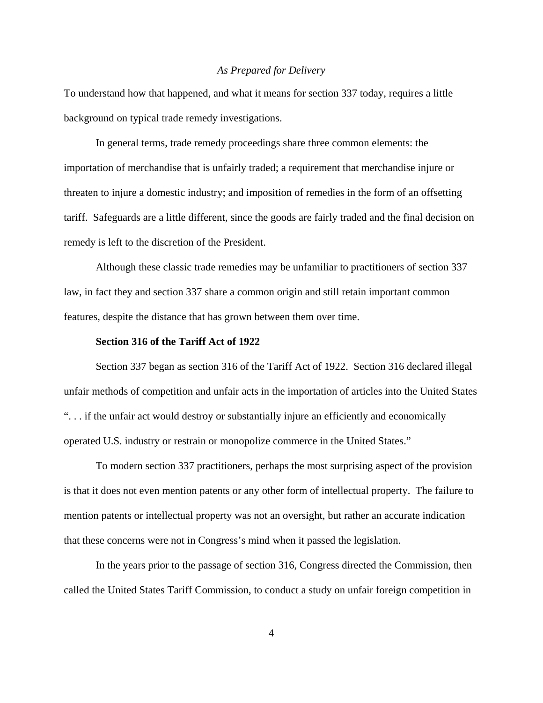To understand how that happened, and what it means for section 337 today, requires a little background on typical trade remedy investigations.

In general terms, trade remedy proceedings share three common elements: the importation of merchandise that is unfairly traded; a requirement that merchandise injure or threaten to injure a domestic industry; and imposition of remedies in the form of an offsetting tariff. Safeguards are a little different, since the goods are fairly traded and the final decision on remedy is left to the discretion of the President.

Although these classic trade remedies may be unfamiliar to practitioners of section 337 law, in fact they and section 337 share a common origin and still retain important common features, despite the distance that has grown between them over time.

# **Section 316 of the Tariff Act of 1922**

Section 337 began as section 316 of the Tariff Act of 1922. Section 316 declared illegal unfair methods of competition and unfair acts in the importation of articles into the United States ". . . if the unfair act would destroy or substantially injure an efficiently and economically operated U.S. industry or restrain or monopolize commerce in the United States."

To modern section 337 practitioners, perhaps the most surprising aspect of the provision is that it does not even mention patents or any other form of intellectual property. The failure to mention patents or intellectual property was not an oversight, but rather an accurate indication that these concerns were not in Congress's mind when it passed the legislation.

In the years prior to the passage of section 316, Congress directed the Commission, then called the United States Tariff Commission, to conduct a study on unfair foreign competition in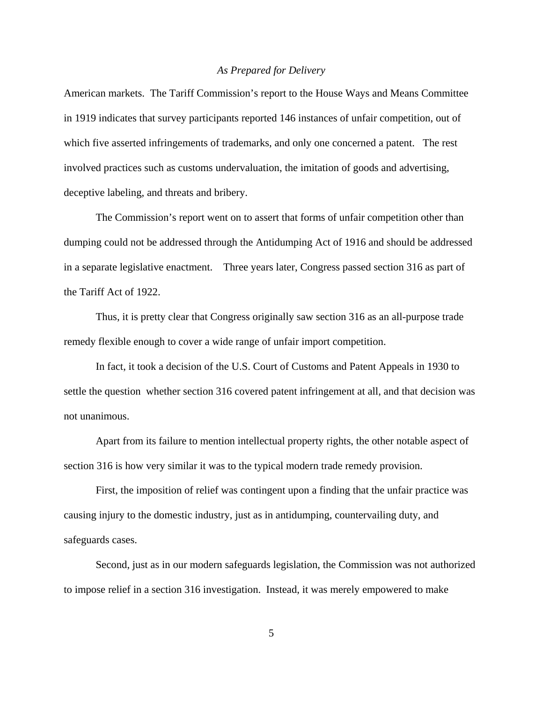American markets. The Tariff Commission's report to the House Ways and Means Committee in 1919 indicates that survey participants reported 146 instances of unfair competition, out of which five asserted infringements of trademarks, and only one concerned a patent. The rest involved practices such as customs undervaluation, the imitation of goods and advertising, deceptive labeling, and threats and bribery.

The Commission's report went on to assert that forms of unfair competition other than dumping could not be addressed through the Antidumping Act of 1916 and should be addressed in a separate legislative enactment. Three years later, Congress passed section 316 as part of the Tariff Act of 1922.

Thus, it is pretty clear that Congress originally saw section 316 as an all-purpose trade remedy flexible enough to cover a wide range of unfair import competition.

In fact, it took a decision of the U.S. Court of Customs and Patent Appeals in 1930 to settle the question whether section 316 covered patent infringement at all, and that decision was not unanimous.

 Apart from its failure to mention intellectual property rights, the other notable aspect of section 316 is how very similar it was to the typical modern trade remedy provision.

First, the imposition of relief was contingent upon a finding that the unfair practice was causing injury to the domestic industry, just as in antidumping, countervailing duty, and safeguards cases.

Second, just as in our modern safeguards legislation, the Commission was not authorized to impose relief in a section 316 investigation. Instead, it was merely empowered to make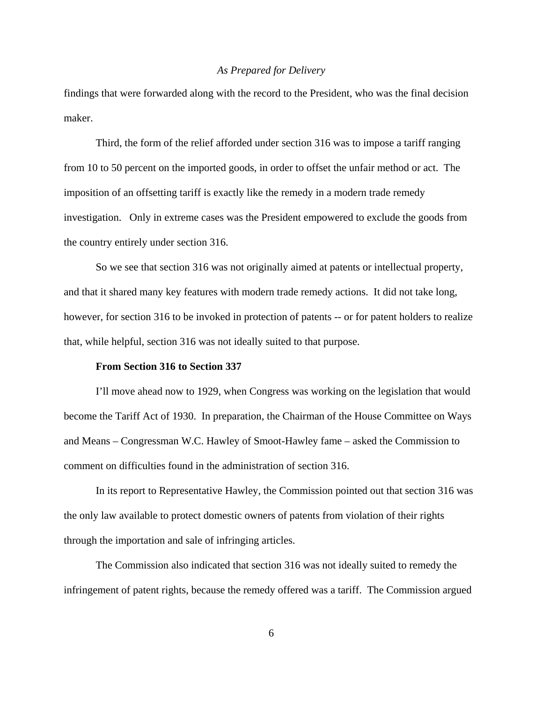findings that were forwarded along with the record to the President, who was the final decision maker.

Third, the form of the relief afforded under section 316 was to impose a tariff ranging from 10 to 50 percent on the imported goods, in order to offset the unfair method or act. The imposition of an offsetting tariff is exactly like the remedy in a modern trade remedy investigation. Only in extreme cases was the President empowered to exclude the goods from the country entirely under section 316.

So we see that section 316 was not originally aimed at patents or intellectual property, and that it shared many key features with modern trade remedy actions. It did not take long, however, for section 316 to be invoked in protection of patents -- or for patent holders to realize that, while helpful, section 316 was not ideally suited to that purpose.

# **From Section 316 to Section 337**

I'll move ahead now to 1929, when Congress was working on the legislation that would become the Tariff Act of 1930. In preparation, the Chairman of the House Committee on Ways and Means – Congressman W.C. Hawley of Smoot-Hawley fame – asked the Commission to comment on difficulties found in the administration of section 316.

In its report to Representative Hawley, the Commission pointed out that section 316 was the only law available to protect domestic owners of patents from violation of their rights through the importation and sale of infringing articles.

The Commission also indicated that section 316 was not ideally suited to remedy the infringement of patent rights, because the remedy offered was a tariff. The Commission argued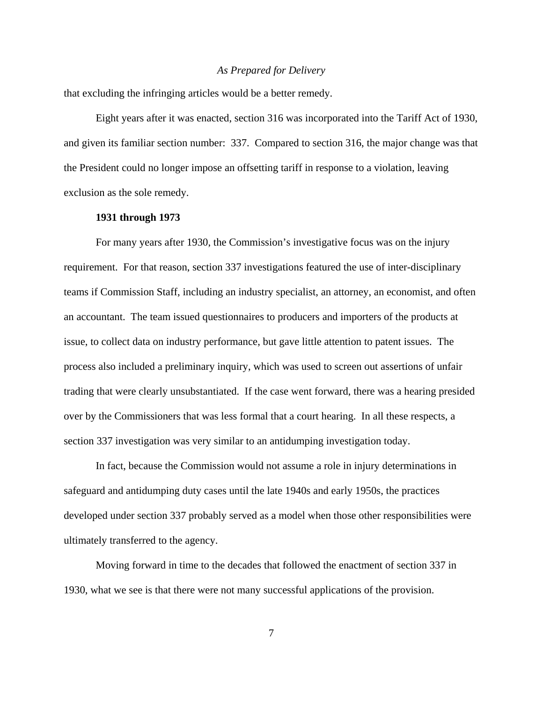that excluding the infringing articles would be a better remedy.

Eight years after it was enacted, section 316 was incorporated into the Tariff Act of 1930, and given its familiar section number: 337. Compared to section 316, the major change was that the President could no longer impose an offsetting tariff in response to a violation, leaving exclusion as the sole remedy.

## **1931 through 1973**

For many years after 1930, the Commission's investigative focus was on the injury requirement. For that reason, section 337 investigations featured the use of inter-disciplinary teams if Commission Staff, including an industry specialist, an attorney, an economist, and often an accountant. The team issued questionnaires to producers and importers of the products at issue, to collect data on industry performance, but gave little attention to patent issues. The process also included a preliminary inquiry, which was used to screen out assertions of unfair trading that were clearly unsubstantiated. If the case went forward, there was a hearing presided over by the Commissioners that was less formal that a court hearing. In all these respects, a section 337 investigation was very similar to an antidumping investigation today.

In fact, because the Commission would not assume a role in injury determinations in safeguard and antidumping duty cases until the late 1940s and early 1950s, the practices developed under section 337 probably served as a model when those other responsibilities were ultimately transferred to the agency.

Moving forward in time to the decades that followed the enactment of section 337 in 1930, what we see is that there were not many successful applications of the provision.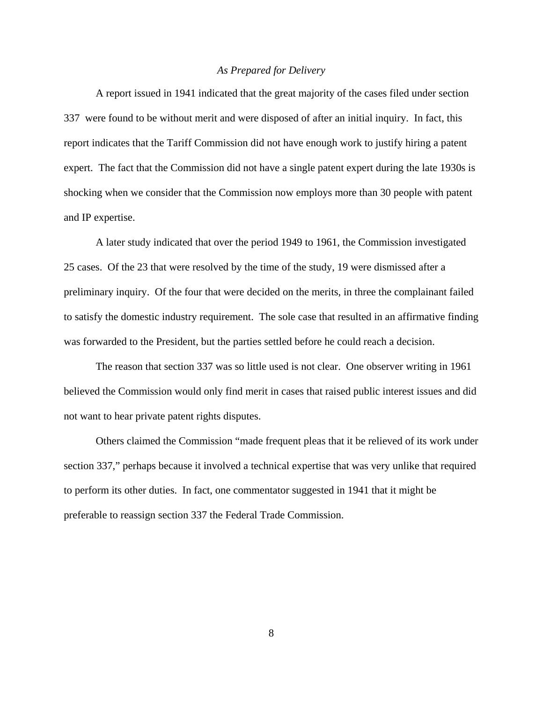A report issued in 1941 indicated that the great majority of the cases filed under section 337 were found to be without merit and were disposed of after an initial inquiry. In fact, this report indicates that the Tariff Commission did not have enough work to justify hiring a patent expert. The fact that the Commission did not have a single patent expert during the late 1930s is shocking when we consider that the Commission now employs more than 30 people with patent and IP expertise.

A later study indicated that over the period 1949 to 1961, the Commission investigated 25 cases. Of the 23 that were resolved by the time of the study, 19 were dismissed after a preliminary inquiry. Of the four that were decided on the merits, in three the complainant failed to satisfy the domestic industry requirement. The sole case that resulted in an affirmative finding was forwarded to the President, but the parties settled before he could reach a decision.

The reason that section 337 was so little used is not clear. One observer writing in 1961 believed the Commission would only find merit in cases that raised public interest issues and did not want to hear private patent rights disputes.

Others claimed the Commission "made frequent pleas that it be relieved of its work under section 337," perhaps because it involved a technical expertise that was very unlike that required to perform its other duties. In fact, one commentator suggested in 1941 that it might be preferable to reassign section 337 the Federal Trade Commission.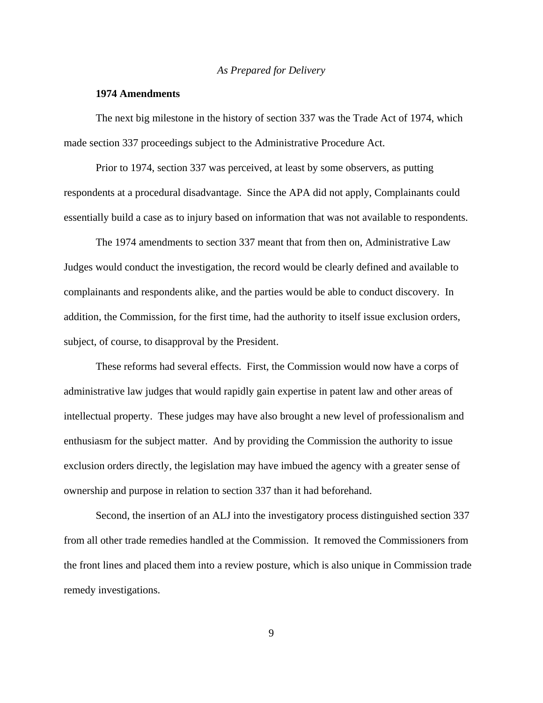#### **1974 Amendments**

The next big milestone in the history of section 337 was the Trade Act of 1974, which made section 337 proceedings subject to the Administrative Procedure Act.

Prior to 1974, section 337 was perceived, at least by some observers, as putting respondents at a procedural disadvantage. Since the APA did not apply, Complainants could essentially build a case as to injury based on information that was not available to respondents.

The 1974 amendments to section 337 meant that from then on, Administrative Law Judges would conduct the investigation, the record would be clearly defined and available to complainants and respondents alike, and the parties would be able to conduct discovery. In addition, the Commission, for the first time, had the authority to itself issue exclusion orders, subject, of course, to disapproval by the President.

These reforms had several effects. First, the Commission would now have a corps of administrative law judges that would rapidly gain expertise in patent law and other areas of intellectual property. These judges may have also brought a new level of professionalism and enthusiasm for the subject matter. And by providing the Commission the authority to issue exclusion orders directly, the legislation may have imbued the agency with a greater sense of ownership and purpose in relation to section 337 than it had beforehand.

Second, the insertion of an ALJ into the investigatory process distinguished section 337 from all other trade remedies handled at the Commission. It removed the Commissioners from the front lines and placed them into a review posture, which is also unique in Commission trade remedy investigations.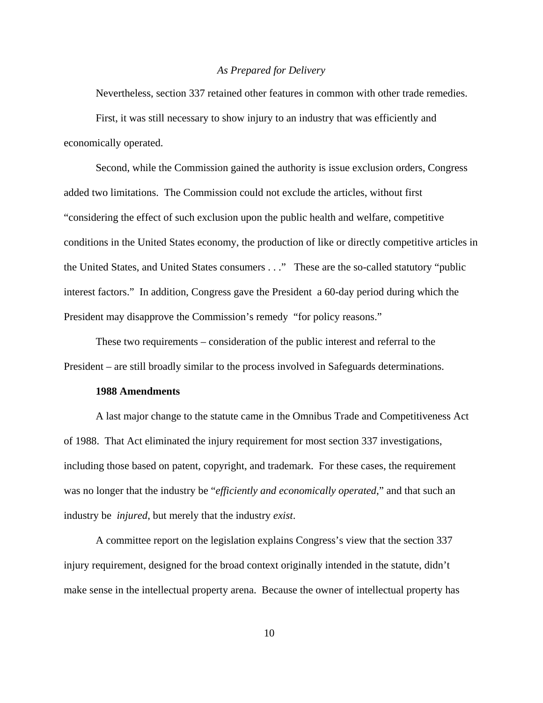Nevertheless, section 337 retained other features in common with other trade remedies. First, it was still necessary to show injury to an industry that was efficiently and economically operated.

Second, while the Commission gained the authority is issue exclusion orders, Congress added two limitations. The Commission could not exclude the articles, without first "considering the effect of such exclusion upon the public health and welfare, competitive conditions in the United States economy, the production of like or directly competitive articles in the United States, and United States consumers . . ." These are the so-called statutory "public interest factors." In addition, Congress gave the President a 60-day period during which the President may disapprove the Commission's remedy "for policy reasons."

These two requirements – consideration of the public interest and referral to the President – are still broadly similar to the process involved in Safeguards determinations.

#### **1988 Amendments**

A last major change to the statute came in the Omnibus Trade and Competitiveness Act of 1988. That Act eliminated the injury requirement for most section 337 investigations, including those based on patent, copyright, and trademark. For these cases, the requirement was no longer that the industry be "*efficiently and economically operated*," and that such an industry be *injured*, but merely that the industry *exist*.

A committee report on the legislation explains Congress's view that the section 337 injury requirement, designed for the broad context originally intended in the statute, didn't make sense in the intellectual property arena. Because the owner of intellectual property has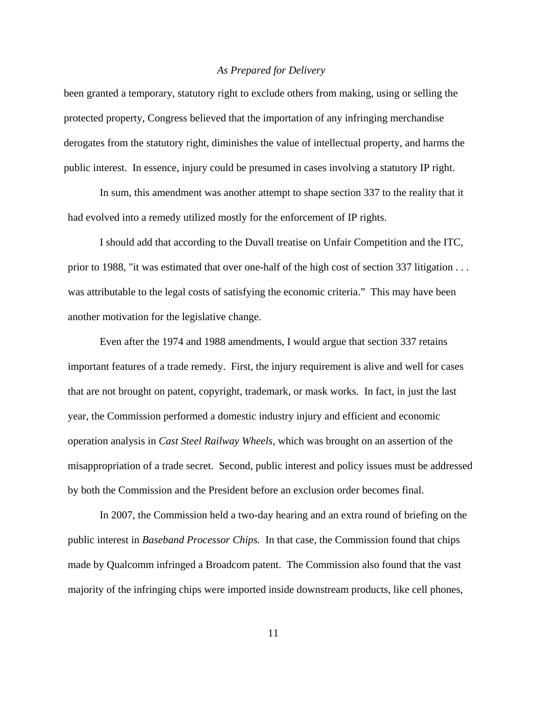been granted a temporary, statutory right to exclude others from making, using or selling the protected property, Congress believed that the importation of any infringing merchandise derogates from the statutory right, diminishes the value of intellectual property, and harms the public interest. In essence, injury could be presumed in cases involving a statutory IP right.

In sum, this amendment was another attempt to shape section 337 to the reality that it had evolved into a remedy utilized mostly for the enforcement of IP rights.

I should add that according to the Duvall treatise on Unfair Competition and the ITC, prior to 1988, "it was estimated that over one-half of the high cost of section 337 litigation . . . was attributable to the legal costs of satisfying the economic criteria." This may have been another motivation for the legislative change.

Even after the 1974 and 1988 amendments, I would argue that section 337 retains important features of a trade remedy. First, the injury requirement is alive and well for cases that are not brought on patent, copyright, trademark, or mask works. In fact, in just the last year, the Commission performed a domestic industry injury and efficient and economic operation analysis in *Cast Steel Railway Wheels*, which was brought on an assertion of the misappropriation of a trade secret. Second, public interest and policy issues must be addressed by both the Commission and the President before an exclusion order becomes final.

In 2007, the Commission held a two-day hearing and an extra round of briefing on the public interest in *Baseband Processor Chips.* In that case, the Commission found that chips made by Qualcomm infringed a Broadcom patent. The Commission also found that the vast majority of the infringing chips were imported inside downstream products, like cell phones,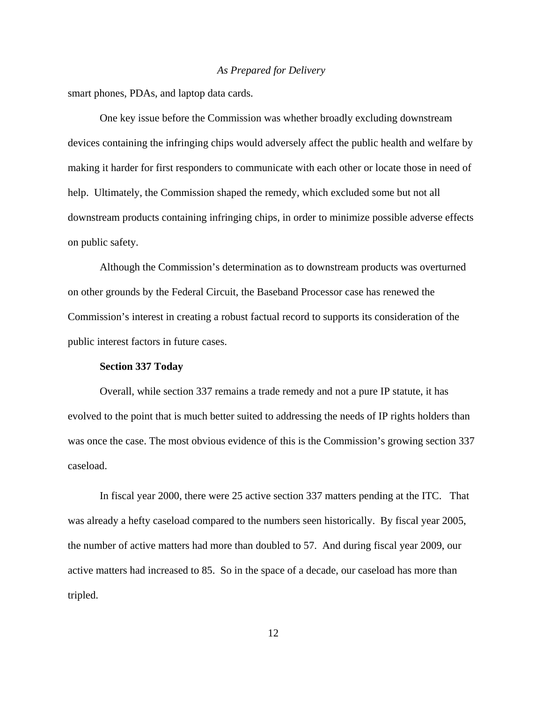smart phones, PDAs, and laptop data cards.

One key issue before the Commission was whether broadly excluding downstream devices containing the infringing chips would adversely affect the public health and welfare by making it harder for first responders to communicate with each other or locate those in need of help. Ultimately, the Commission shaped the remedy, which excluded some but not all downstream products containing infringing chips, in order to minimize possible adverse effects on public safety.

Although the Commission's determination as to downstream products was overturned on other grounds by the Federal Circuit, the Baseband Processor case has renewed the Commission's interest in creating a robust factual record to supports its consideration of the public interest factors in future cases.

## **Section 337 Today**

Overall, while section 337 remains a trade remedy and not a pure IP statute, it has evolved to the point that is much better suited to addressing the needs of IP rights holders than was once the case. The most obvious evidence of this is the Commission's growing section 337 caseload.

In fiscal year 2000, there were 25 active section 337 matters pending at the ITC. That was already a hefty caseload compared to the numbers seen historically. By fiscal year 2005, the number of active matters had more than doubled to 57. And during fiscal year 2009, our active matters had increased to 85. So in the space of a decade, our caseload has more than tripled.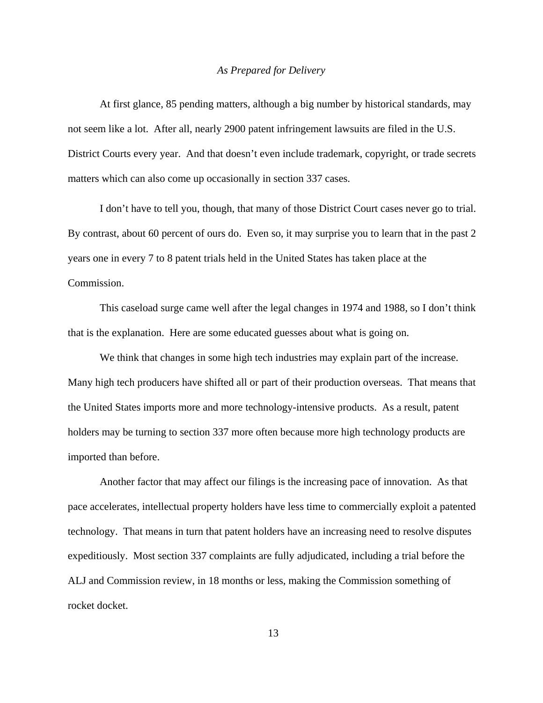At first glance, 85 pending matters, although a big number by historical standards, may not seem like a lot. After all, nearly 2900 patent infringement lawsuits are filed in the U.S. District Courts every year. And that doesn't even include trademark, copyright, or trade secrets matters which can also come up occasionally in section 337 cases.

I don't have to tell you, though, that many of those District Court cases never go to trial. By contrast, about 60 percent of ours do. Even so, it may surprise you to learn that in the past 2 years one in every 7 to 8 patent trials held in the United States has taken place at the Commission.

This caseload surge came well after the legal changes in 1974 and 1988, so I don't think that is the explanation. Here are some educated guesses about what is going on.

We think that changes in some high tech industries may explain part of the increase. Many high tech producers have shifted all or part of their production overseas. That means that the United States imports more and more technology-intensive products. As a result, patent holders may be turning to section 337 more often because more high technology products are imported than before.

Another factor that may affect our filings is the increasing pace of innovation. As that pace accelerates, intellectual property holders have less time to commercially exploit a patented technology. That means in turn that patent holders have an increasing need to resolve disputes expeditiously. Most section 337 complaints are fully adjudicated, including a trial before the ALJ and Commission review, in 18 months or less, making the Commission something of rocket docket.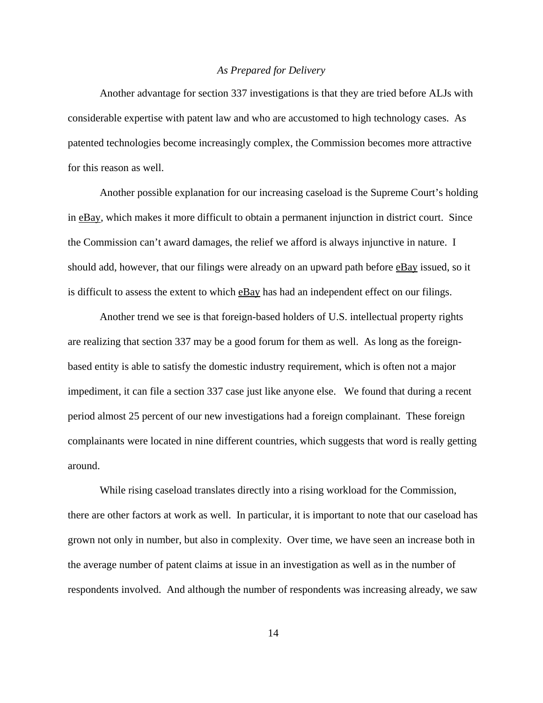Another advantage for section 337 investigations is that they are tried before ALJs with considerable expertise with patent law and who are accustomed to high technology cases. As patented technologies become increasingly complex, the Commission becomes more attractive for this reason as well.

Another possible explanation for our increasing caseload is the Supreme Court's holding in eBay, which makes it more difficult to obtain a permanent injunction in district court. Since the Commission can't award damages, the relief we afford is always injunctive in nature. I should add, however, that our filings were already on an upward path before eBay issued, so it is difficult to assess the extent to which eBay has had an independent effect on our filings.

Another trend we see is that foreign-based holders of U.S. intellectual property rights are realizing that section 337 may be a good forum for them as well. As long as the foreignbased entity is able to satisfy the domestic industry requirement, which is often not a major impediment, it can file a section 337 case just like anyone else. We found that during a recent period almost 25 percent of our new investigations had a foreign complainant. These foreign complainants were located in nine different countries, which suggests that word is really getting around.

While rising caseload translates directly into a rising workload for the Commission, there are other factors at work as well. In particular, it is important to note that our caseload has grown not only in number, but also in complexity. Over time, we have seen an increase both in the average number of patent claims at issue in an investigation as well as in the number of respondents involved. And although the number of respondents was increasing already, we saw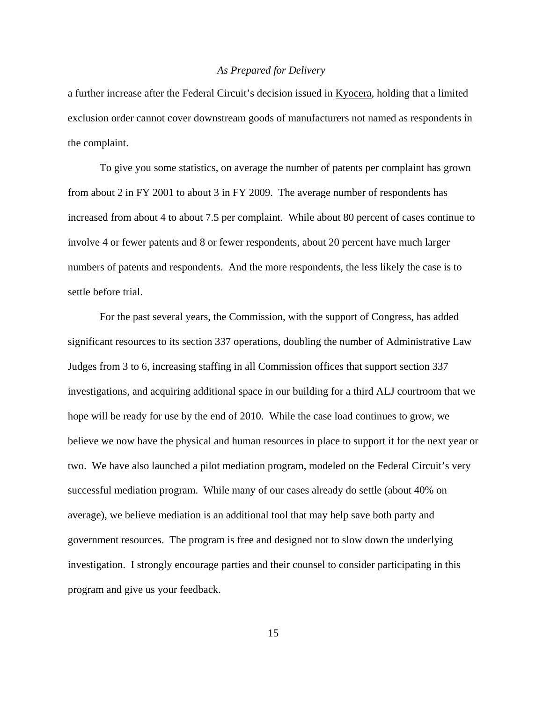a further increase after the Federal Circuit's decision issued in Kyocera, holding that a limited exclusion order cannot cover downstream goods of manufacturers not named as respondents in the complaint.

To give you some statistics, on average the number of patents per complaint has grown from about 2 in FY 2001 to about 3 in FY 2009. The average number of respondents has increased from about 4 to about 7.5 per complaint. While about 80 percent of cases continue to involve 4 or fewer patents and 8 or fewer respondents, about 20 percent have much larger numbers of patents and respondents. And the more respondents, the less likely the case is to settle before trial.

For the past several years, the Commission, with the support of Congress, has added significant resources to its section 337 operations, doubling the number of Administrative Law Judges from 3 to 6, increasing staffing in all Commission offices that support section 337 investigations, and acquiring additional space in our building for a third ALJ courtroom that we hope will be ready for use by the end of 2010. While the case load continues to grow, we believe we now have the physical and human resources in place to support it for the next year or two. We have also launched a pilot mediation program, modeled on the Federal Circuit's very successful mediation program. While many of our cases already do settle (about 40% on average), we believe mediation is an additional tool that may help save both party and government resources. The program is free and designed not to slow down the underlying investigation. I strongly encourage parties and their counsel to consider participating in this program and give us your feedback.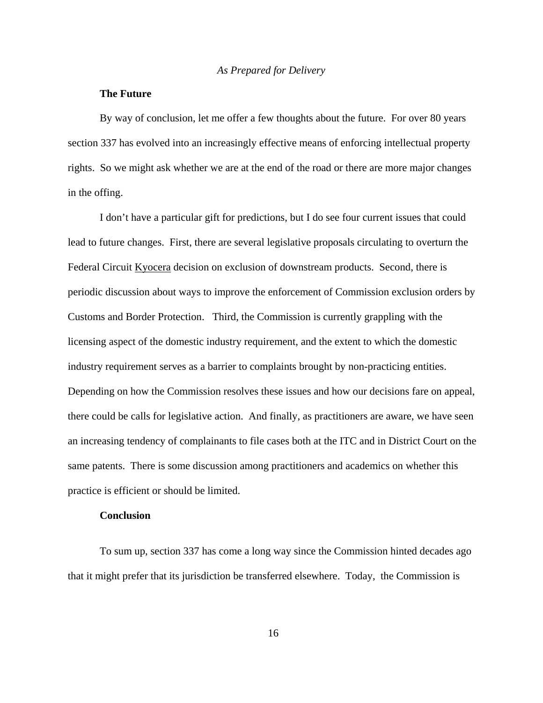# **The Future**

By way of conclusion, let me offer a few thoughts about the future. For over 80 years section 337 has evolved into an increasingly effective means of enforcing intellectual property rights. So we might ask whether we are at the end of the road or there are more major changes in the offing.

I don't have a particular gift for predictions, but I do see four current issues that could lead to future changes. First, there are several legislative proposals circulating to overturn the Federal Circuit Kyocera decision on exclusion of downstream products. Second, there is periodic discussion about ways to improve the enforcement of Commission exclusion orders by Customs and Border Protection. Third, the Commission is currently grappling with the licensing aspect of the domestic industry requirement, and the extent to which the domestic industry requirement serves as a barrier to complaints brought by non-practicing entities. Depending on how the Commission resolves these issues and how our decisions fare on appeal, there could be calls for legislative action. And finally, as practitioners are aware, we have seen an increasing tendency of complainants to file cases both at the ITC and in District Court on the same patents. There is some discussion among practitioners and academics on whether this practice is efficient or should be limited.

## **Conclusion**

To sum up, section 337 has come a long way since the Commission hinted decades ago that it might prefer that its jurisdiction be transferred elsewhere. Today, the Commission is